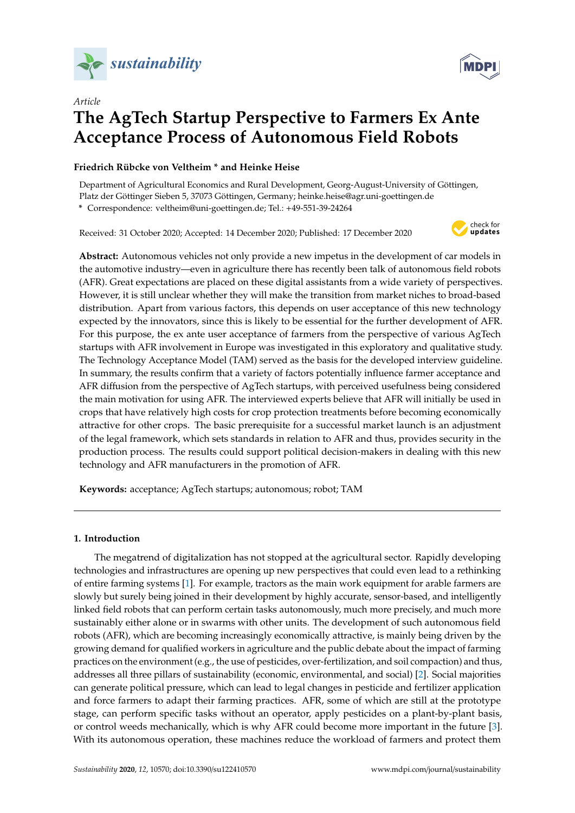



# *Article* **The AgTech Startup Perspective to Farmers Ex Ante Acceptance Process of Autonomous Field Robots**

# **Friedrich Rübcke von Veltheim \* and Heinke Heise**

Department of Agricultural Economics and Rural Development, Georg-August-University of Göttingen, Platz der Göttinger Sieben 5, 37073 Göttingen, Germany; heinke.heise@agr.uni-goettingen.de

**\*** Correspondence: veltheim@uni-goettingen.de; Tel.: +49-551-39-24264

Received: 31 October 2020; Accepted: 14 December 2020; Published: 17 December 2020



**Abstract:** Autonomous vehicles not only provide a new impetus in the development of car models in the automotive industry—even in agriculture there has recently been talk of autonomous field robots (AFR). Great expectations are placed on these digital assistants from a wide variety of perspectives. However, it is still unclear whether they will make the transition from market niches to broad-based distribution. Apart from various factors, this depends on user acceptance of this new technology expected by the innovators, since this is likely to be essential for the further development of AFR. For this purpose, the ex ante user acceptance of farmers from the perspective of various AgTech startups with AFR involvement in Europe was investigated in this exploratory and qualitative study. The Technology Acceptance Model (TAM) served as the basis for the developed interview guideline. In summary, the results confirm that a variety of factors potentially influence farmer acceptance and AFR diffusion from the perspective of AgTech startups, with perceived usefulness being considered the main motivation for using AFR. The interviewed experts believe that AFR will initially be used in crops that have relatively high costs for crop protection treatments before becoming economically attractive for other crops. The basic prerequisite for a successful market launch is an adjustment of the legal framework, which sets standards in relation to AFR and thus, provides security in the production process. The results could support political decision-makers in dealing with this new technology and AFR manufacturers in the promotion of AFR.

**Keywords:** acceptance; AgTech startups; autonomous; robot; TAM

## **1. Introduction**

The megatrend of digitalization has not stopped at the agricultural sector. Rapidly developing technologies and infrastructures are opening up new perspectives that could even lead to a rethinking of entire farming systems [\[1\]](#page-15-0). For example, tractors as the main work equipment for arable farmers are slowly but surely being joined in their development by highly accurate, sensor-based, and intelligently linked field robots that can perform certain tasks autonomously, much more precisely, and much more sustainably either alone or in swarms with other units. The development of such autonomous field robots (AFR), which are becoming increasingly economically attractive, is mainly being driven by the growing demand for qualified workers in agriculture and the public debate about the impact of farming practices on the environment (e.g., the use of pesticides, over-fertilization, and soil compaction) and thus, addresses all three pillars of sustainability (economic, environmental, and social) [\[2\]](#page-15-1). Social majorities can generate political pressure, which can lead to legal changes in pesticide and fertilizer application and force farmers to adapt their farming practices. AFR, some of which are still at the prototype stage, can perform specific tasks without an operator, apply pesticides on a plant-by-plant basis, or control weeds mechanically, which is why AFR could become more important in the future [\[3\]](#page-15-2). With its autonomous operation, these machines reduce the workload of farmers and protect them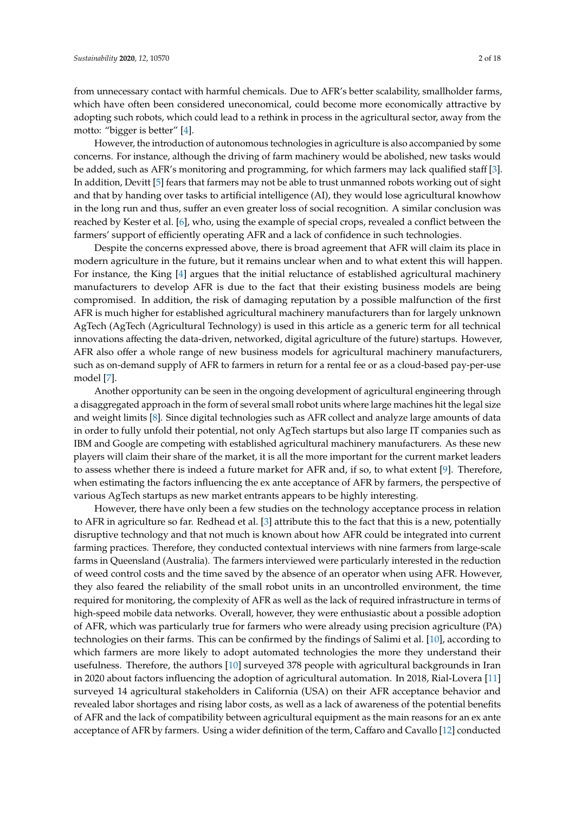from unnecessary contact with harmful chemicals. Due to AFR's better scalability, smallholder farms, which have often been considered uneconomical, could become more economically attractive by adopting such robots, which could lead to a rethink in process in the agricultural sector, away from the motto: "bigger is better" [\[4\]](#page-15-3).

However, the introduction of autonomous technologies in agriculture is also accompanied by some concerns. For instance, although the driving of farm machinery would be abolished, new tasks would be added, such as AFR's monitoring and programming, for which farmers may lack qualified staff [\[3\]](#page-15-2). In addition, Devitt [\[5\]](#page-15-4) fears that farmers may not be able to trust unmanned robots working out of sight and that by handing over tasks to artificial intelligence (AI), they would lose agricultural knowhow in the long run and thus, suffer an even greater loss of social recognition. A similar conclusion was reached by Kester et al. [\[6\]](#page-15-5), who, using the example of special crops, revealed a conflict between the farmers' support of efficiently operating AFR and a lack of confidence in such technologies.

Despite the concerns expressed above, there is broad agreement that AFR will claim its place in modern agriculture in the future, but it remains unclear when and to what extent this will happen. For instance, the King [\[4\]](#page-15-3) argues that the initial reluctance of established agricultural machinery manufacturers to develop AFR is due to the fact that their existing business models are being compromised. In addition, the risk of damaging reputation by a possible malfunction of the first AFR is much higher for established agricultural machinery manufacturers than for largely unknown AgTech (AgTech (Agricultural Technology) is used in this article as a generic term for all technical innovations affecting the data-driven, networked, digital agriculture of the future) startups. However, AFR also offer a whole range of new business models for agricultural machinery manufacturers, such as on-demand supply of AFR to farmers in return for a rental fee or as a cloud-based pay-per-use model [\[7\]](#page-15-6).

Another opportunity can be seen in the ongoing development of agricultural engineering through a disaggregated approach in the form of several small robot units where large machines hit the legal size and weight limits [\[8\]](#page-15-7). Since digital technologies such as AFR collect and analyze large amounts of data in order to fully unfold their potential, not only AgTech startups but also large IT companies such as IBM and Google are competing with established agricultural machinery manufacturers. As these new players will claim their share of the market, it is all the more important for the current market leaders to assess whether there is indeed a future market for AFR and, if so, to what extent [\[9\]](#page-15-8). Therefore, when estimating the factors influencing the ex ante acceptance of AFR by farmers, the perspective of various AgTech startups as new market entrants appears to be highly interesting.

However, there have only been a few studies on the technology acceptance process in relation to AFR in agriculture so far. Redhead et al. [\[3\]](#page-15-2) attribute this to the fact that this is a new, potentially disruptive technology and that not much is known about how AFR could be integrated into current farming practices. Therefore, they conducted contextual interviews with nine farmers from large-scale farms in Queensland (Australia). The farmers interviewed were particularly interested in the reduction of weed control costs and the time saved by the absence of an operator when using AFR. However, they also feared the reliability of the small robot units in an uncontrolled environment, the time required for monitoring, the complexity of AFR as well as the lack of required infrastructure in terms of high-speed mobile data networks. Overall, however, they were enthusiastic about a possible adoption of AFR, which was particularly true for farmers who were already using precision agriculture (PA) technologies on their farms. This can be confirmed by the findings of Salimi et al. [\[10\]](#page-15-9), according to which farmers are more likely to adopt automated technologies the more they understand their usefulness. Therefore, the authors [\[10\]](#page-15-9) surveyed 378 people with agricultural backgrounds in Iran in 2020 about factors influencing the adoption of agricultural automation. In 2018, Rial-Lovera [\[11\]](#page-15-10) surveyed 14 agricultural stakeholders in California (USA) on their AFR acceptance behavior and revealed labor shortages and rising labor costs, as well as a lack of awareness of the potential benefits of AFR and the lack of compatibility between agricultural equipment as the main reasons for an ex ante acceptance of AFR by farmers. Using a wider definition of the term, Caffaro and Cavallo [\[12\]](#page-15-11) conducted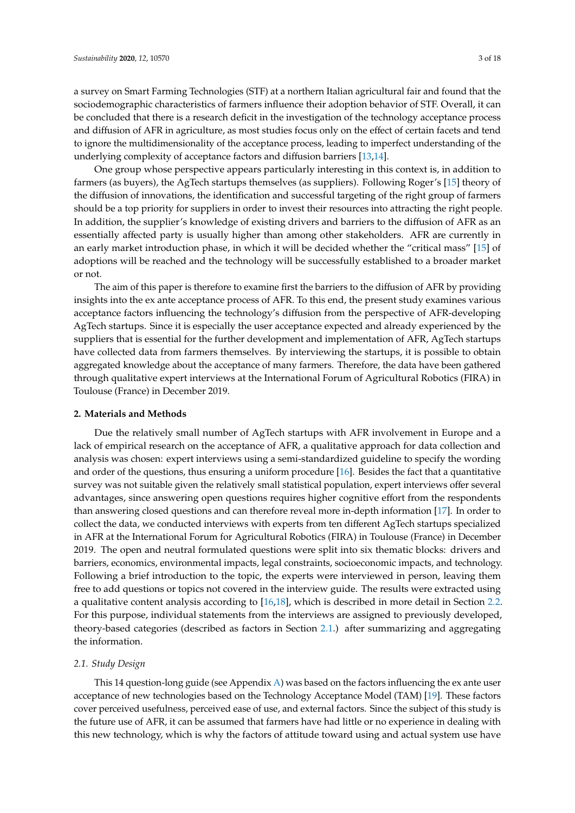a survey on Smart Farming Technologies (STF) at a northern Italian agricultural fair and found that the sociodemographic characteristics of farmers influence their adoption behavior of STF. Overall, it can be concluded that there is a research deficit in the investigation of the technology acceptance process and diffusion of AFR in agriculture, as most studies focus only on the effect of certain facets and tend to ignore the multidimensionality of the acceptance process, leading to imperfect understanding of the underlying complexity of acceptance factors and diffusion barriers [\[13](#page-15-12)[,14\]](#page-15-13).

One group whose perspective appears particularly interesting in this context is, in addition to farmers (as buyers), the AgTech startups themselves (as suppliers). Following Roger's [\[15\]](#page-15-14) theory of the diffusion of innovations, the identification and successful targeting of the right group of farmers should be a top priority for suppliers in order to invest their resources into attracting the right people. In addition, the supplier's knowledge of existing drivers and barriers to the diffusion of AFR as an essentially affected party is usually higher than among other stakeholders. AFR are currently in an early market introduction phase, in which it will be decided whether the "critical mass" [\[15\]](#page-15-14) of adoptions will be reached and the technology will be successfully established to a broader market or not.

The aim of this paper is therefore to examine first the barriers to the diffusion of AFR by providing insights into the ex ante acceptance process of AFR. To this end, the present study examines various acceptance factors influencing the technology's diffusion from the perspective of AFR-developing AgTech startups. Since it is especially the user acceptance expected and already experienced by the suppliers that is essential for the further development and implementation of AFR, AgTech startups have collected data from farmers themselves. By interviewing the startups, it is possible to obtain aggregated knowledge about the acceptance of many farmers. Therefore, the data have been gathered through qualitative expert interviews at the International Forum of Agricultural Robotics (FIRA) in Toulouse (France) in December 2019.

#### **2. Materials and Methods**

Due the relatively small number of AgTech startups with AFR involvement in Europe and a lack of empirical research on the acceptance of AFR, a qualitative approach for data collection and analysis was chosen: expert interviews using a semi-standardized guideline to specify the wording and order of the questions, thus ensuring a uniform procedure [\[16\]](#page-15-15). Besides the fact that a quantitative survey was not suitable given the relatively small statistical population, expert interviews offer several advantages, since answering open questions requires higher cognitive effort from the respondents than answering closed questions and can therefore reveal more in-depth information [\[17\]](#page-15-16). In order to collect the data, we conducted interviews with experts from ten different AgTech startups specialized in AFR at the International Forum for Agricultural Robotics (FIRA) in Toulouse (France) in December 2019. The open and neutral formulated questions were split into six thematic blocks: drivers and barriers, economics, environmental impacts, legal constraints, socioeconomic impacts, and technology. Following a brief introduction to the topic, the experts were interviewed in person, leaving them free to add questions or topics not covered in the interview guide. The results were extracted using a qualitative content analysis according to [\[16,](#page-15-15)[18\]](#page-16-0), which is described in more detail in Section [2.2.](#page-4-0) For this purpose, individual statements from the interviews are assigned to previously developed, theory-based categories (described as factors in Section [2.1.](#page-2-0)) after summarizing and aggregating the information.

## <span id="page-2-0"></span>*2.1. Study Design*

This 14 question-long guide (see Appendix [A\)](#page-13-0) was based on the factors influencing the ex ante user acceptance of new technologies based on the Technology Acceptance Model (TAM) [\[19\]](#page-16-1). These factors cover perceived usefulness, perceived ease of use, and external factors. Since the subject of this study is the future use of AFR, it can be assumed that farmers have had little or no experience in dealing with this new technology, which is why the factors of attitude toward using and actual system use have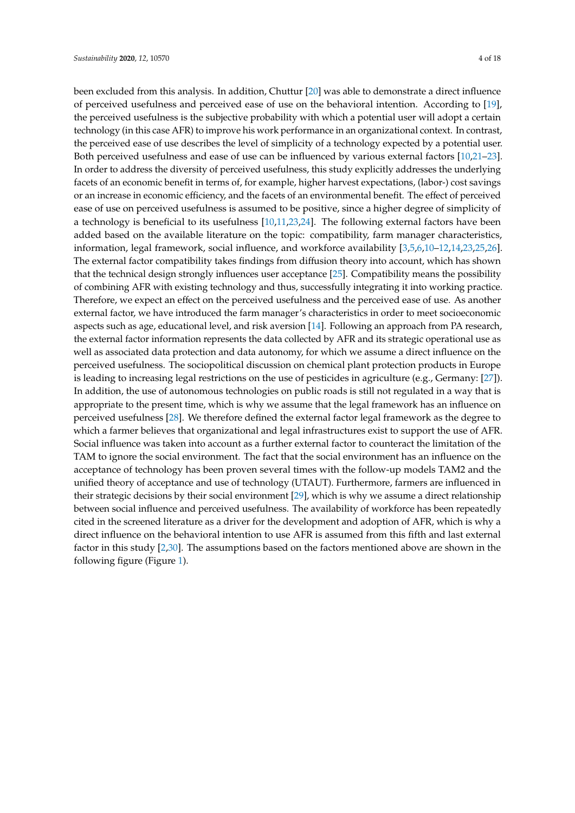been excluded from this analysis. In addition, Chuttur [\[20\]](#page-16-2) was able to demonstrate a direct influence of perceived usefulness and perceived ease of use on the behavioral intention. According to [\[19\]](#page-16-1), the perceived usefulness is the subjective probability with which a potential user will adopt a certain technology (in this case AFR) to improve his work performance in an organizational context. In contrast, the perceived ease of use describes the level of simplicity of a technology expected by a potential user. Both perceived usefulness and ease of use can be influenced by various external factors [\[10,](#page-15-9)[21–](#page-16-3)[23\]](#page-16-4). In order to address the diversity of perceived usefulness, this study explicitly addresses the underlying facets of an economic benefit in terms of, for example, higher harvest expectations, (labor-) cost savings or an increase in economic efficiency, and the facets of an environmental benefit. The effect of perceived ease of use on perceived usefulness is assumed to be positive, since a higher degree of simplicity of a technology is beneficial to its usefulness [\[10,](#page-15-9)[11,](#page-15-10)[23,](#page-16-4)[24\]](#page-16-5). The following external factors have been added based on the available literature on the topic: compatibility, farm manager characteristics, information, legal framework, social influence, and workforce availability [\[3,](#page-15-2)[5](#page-15-4)[,6,](#page-15-5)[10](#page-15-9)[–12,](#page-15-11)[14,](#page-15-13)[23,](#page-16-4)[25,](#page-16-6)[26\]](#page-16-7). The external factor compatibility takes findings from diffusion theory into account, which has shown that the technical design strongly influences user acceptance [\[25\]](#page-16-6). Compatibility means the possibility of combining AFR with existing technology and thus, successfully integrating it into working practice. Therefore, we expect an effect on the perceived usefulness and the perceived ease of use. As another external factor, we have introduced the farm manager's characteristics in order to meet socioeconomic aspects such as age, educational level, and risk aversion [\[14\]](#page-15-13). Following an approach from PA research, the external factor information represents the data collected by AFR and its strategic operational use as well as associated data protection and data autonomy, for which we assume a direct influence on the perceived usefulness. The sociopolitical discussion on chemical plant protection products in Europe is leading to increasing legal restrictions on the use of pesticides in agriculture (e.g., Germany: [\[27\]](#page-16-8)). In addition, the use of autonomous technologies on public roads is still not regulated in a way that is appropriate to the present time, which is why we assume that the legal framework has an influence on perceived usefulness [\[28\]](#page-16-9). We therefore defined the external factor legal framework as the degree to which a farmer believes that organizational and legal infrastructures exist to support the use of AFR. Social influence was taken into account as a further external factor to counteract the limitation of the TAM to ignore the social environment. The fact that the social environment has an influence on the acceptance of technology has been proven several times with the follow-up models TAM2 and the unified theory of acceptance and use of technology (UTAUT). Furthermore, farmers are influenced in their strategic decisions by their social environment [\[29\]](#page-16-10), which is why we assume a direct relationship between social influence and perceived usefulness. The availability of workforce has been repeatedly cited in the screened literature as a driver for the development and adoption of AFR, which is why a direct influence on the behavioral intention to use AFR is assumed from this fifth and last external factor in this study [\[2,](#page-15-1)[30\]](#page-16-11). The assumptions based on the factors mentioned above are shown in the following figure (Figure [1\)](#page-4-1).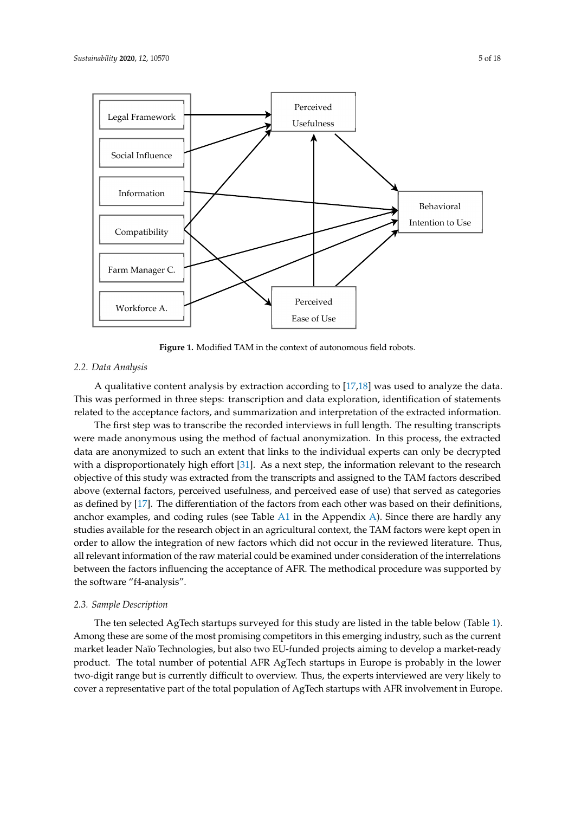<span id="page-4-1"></span>

**Figure 1.** Modified TAM in the context of autonomous field robots. **Figure 1.** Modified TAM in the context of autonomous field robots.

### <span id="page-4-0"></span>*2.2. Data Analysis 2.2. Data Analysis*

A qualitative content analysis by extraction according to [[17,](#page-15-16)[18\]](#page-16-0) was used to analyze the data. A qualitative content analysis by extraction according to [17,18] was used to analyze the data. This was performed in three steps: transcription and data exploration, identification of statements This was performed in three steps: transcription and data exploration, identification of statements related to the acceptance factors, and summarization and interpretation of the extracted information.

The first step was to transcribe the recorded interviews in full length. The resulting transcripts The first step was to transcribe the recorded interviews in full length. The resulting transcripts were made anonymous using the method of factual anonymization. In this process, the extracted data are anonymized to such an extent that links to the individual experts can only be decrypted with a disproportionately high effort [31]. As [a n](#page-16-12)ext step, the information relevant to the research objective of this study was extracted from the transcripts and assigned to the TAM factors described above (external factors, perceived usefulness, and perceived ease of use) that served as categories as defined by [17]. The d[iffe](#page-15-16)rentiation of the factors from each other was based on their definitions, anchor examples, and coding rules (see Table  $A1$  in t[he A](#page-14-0)ppendix  $A$ ). Sinc[e t](#page-13-0)here are hardly any studies available for the research object in an agricultural context, the TAM factors were kept open in order to allow the integration of new factors which did not occur in the reviewed literature. Thus, all relevant information of the raw material could be examined under consideration of the interrelations between the factors influencing the acceptance of AFR. The methodical procedure was supported by between the factors influencing the acceptance of AFR. The methodical procedure was supported by the software "f4-analysis". the software "f4-analysis".

# *2.3. Sample Description 2.3. Sample Description*

The ten selected AgTech startups surveyed for this study are listed in the table below (Table [1\).](#page-5-0) The ten selected AgTech startups surveyed for this study are listed in the table below (Table 1). Among these are some of the most promising competitors in this emerging industry, such as the Among these are some of the most promising competitors in this emerging industry, such as the current market leader Naïo Technologies, but also two EU-funded projects aiming to develop a market-ready product. The total number of potential AFR AgTech startups in Europe is probably in the lower two-digit range but is currently difficult to overview. Thus, the experts interviewed are very likely to cover a representative part of the total population of AgTech startups with AFR involvement in Europe.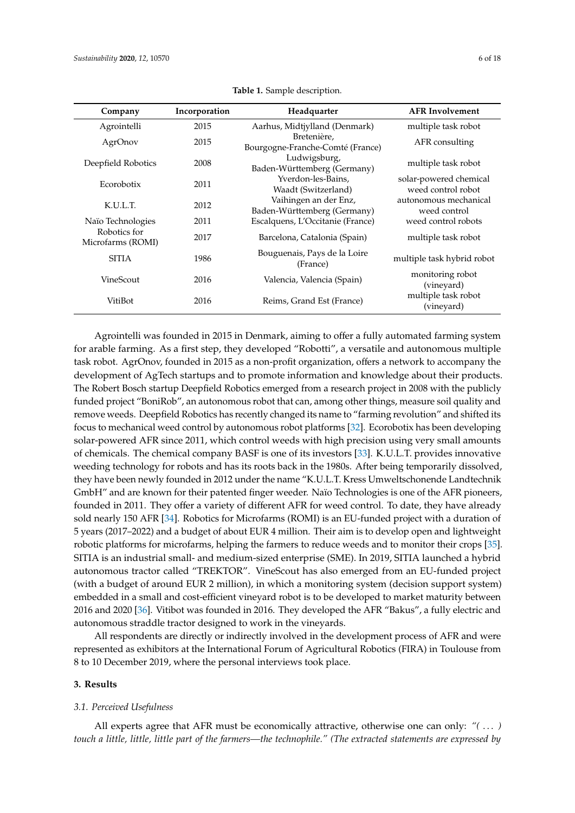<span id="page-5-0"></span>

| Company                           | Incorporation | Headquarter                                          | <b>AFR</b> Involvement                       |
|-----------------------------------|---------------|------------------------------------------------------|----------------------------------------------|
| Agrointelli                       | 2015          | Aarhus, Midtjylland (Denmark)                        | multiple task robot                          |
| AgrOnov                           | 2015          | Bretenière,<br>Bourgogne-Franche-Comté (France)      | AFR consulting                               |
| Deepfield Robotics                | 2008          | Ludwigsburg,<br>Baden-Württemberg (Germany)          | multiple task robot                          |
| Ecorobotix                        | 2011          | Yverdon-les-Bains,<br>Waadt (Switzerland)            | solar-powered chemical<br>weed control robot |
| K.U.L.T.                          | 2012          | Vaihingen an der Enz,<br>Baden-Württemberg (Germany) | autonomous mechanical<br>weed control        |
| Naïo Technologies                 | 2011          | Escalquens, L'Occitanie (France)                     | weed control robots                          |
| Robotics for<br>Microfarms (ROMI) | 2017          | Barcelona, Catalonia (Spain)                         | multiple task robot                          |
| <b>SITIA</b>                      | 1986          | Bouguenais, Pays de la Loire<br>(France)             | multiple task hybrid robot                   |
| VineScout                         | 2016          | Valencia, Valencia (Spain)                           | monitoring robot<br>(vineyard)               |
| VitiBot                           | 2016          | Reims, Grand Est (France)                            | multiple task robot<br>(vineyard)            |

**Table 1.** Sample description.

Agrointelli was founded in 2015 in Denmark, aiming to offer a fully automated farming system for arable farming. As a first step, they developed "Robotti", a versatile and autonomous multiple task robot. AgrOnov, founded in 2015 as a non-profit organization, offers a network to accompany the development of AgTech startups and to promote information and knowledge about their products. The Robert Bosch startup Deepfield Robotics emerged from a research project in 2008 with the publicly funded project "BoniRob", an autonomous robot that can, among other things, measure soil quality and remove weeds. Deepfield Robotics has recently changed its name to "farming revolution" and shifted its focus to mechanical weed control by autonomous robot platforms [\[32\]](#page-16-13). Ecorobotix has been developing solar-powered AFR since 2011, which control weeds with high precision using very small amounts of chemicals. The chemical company BASF is one of its investors [\[33\]](#page-16-14). K.U.L.T. provides innovative weeding technology for robots and has its roots back in the 1980s. After being temporarily dissolved, they have been newly founded in 2012 under the name "K.U.L.T. Kress Umweltschonende Landtechnik GmbH" and are known for their patented finger weeder. Naïo Technologies is one of the AFR pioneers, founded in 2011. They offer a variety of different AFR for weed control. To date, they have already sold nearly 150 AFR [\[34\]](#page-16-15). Robotics for Microfarms (ROMI) is an EU-funded project with a duration of 5 years (2017–2022) and a budget of about EUR 4 million. Their aim is to develop open and lightweight robotic platforms for microfarms, helping the farmers to reduce weeds and to monitor their crops [\[35\]](#page-16-16). SITIA is an industrial small- and medium-sized enterprise (SME). In 2019, SITIA launched a hybrid autonomous tractor called "TREKTOR". VineScout has also emerged from an EU-funded project (with a budget of around EUR 2 million), in which a monitoring system (decision support system) embedded in a small and cost-efficient vineyard robot is to be developed to market maturity between 2016 and 2020 [\[36\]](#page-16-17). Vitibot was founded in 2016. They developed the AFR "Bakus", a fully electric and autonomous straddle tractor designed to work in the vineyards.

All respondents are directly or indirectly involved in the development process of AFR and were represented as exhibitors at the International Forum of Agricultural Robotics (FIRA) in Toulouse from 8 to 10 December 2019, where the personal interviews took place.

#### **3. Results**

#### *3.1. Perceived Usefulness*

All experts agree that AFR must be economically attractive, otherwise one can only: *"(* . . . *) touch a little, little, little part of the farmers—the technophile." (The extracted statements are expressed by*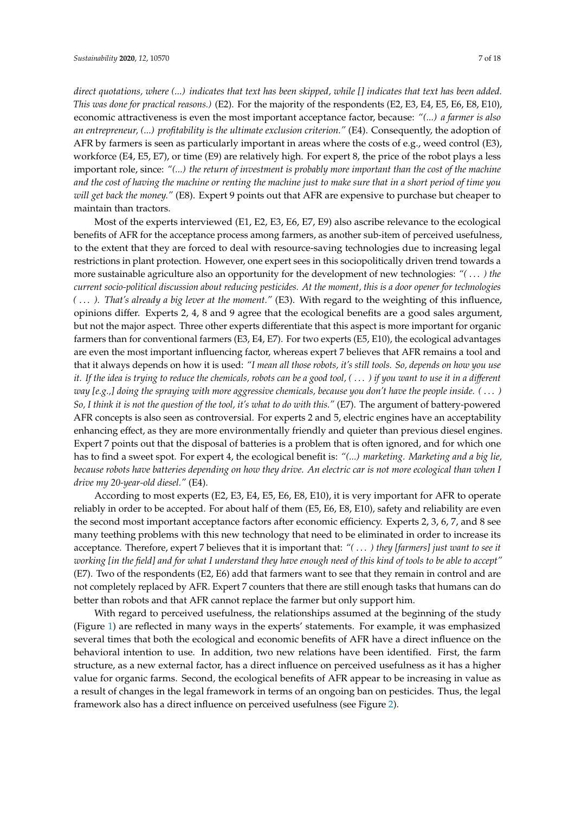*direct quotations, where (...) indicates that text has been skipped, while [] indicates that text has been added. This was done for practical reasons.)* (E2). For the majority of the respondents (E2, E3, E4, E5, E6, E8, E10), economic attractiveness is even the most important acceptance factor, because: *"(...) a farmer is also an entrepreneur, (...) profitability is the ultimate exclusion criterion."* (E4). Consequently, the adoption of AFR by farmers is seen as particularly important in areas where the costs of e.g., weed control (E3), workforce (E4, E5, E7), or time (E9) are relatively high. For expert 8, the price of the robot plays a less important role, since: *"(...) the return of investment is probably more important than the cost of the machine and the cost of having the machine or renting the machine just to make sure that in a short period of time you will get back the money."* (E8). Expert 9 points out that AFR are expensive to purchase but cheaper to maintain than tractors.

Most of the experts interviewed (E1, E2, E3, E6, E7, E9) also ascribe relevance to the ecological benefits of AFR for the acceptance process among farmers, as another sub-item of perceived usefulness, to the extent that they are forced to deal with resource-saving technologies due to increasing legal restrictions in plant protection. However, one expert sees in this sociopolitically driven trend towards a more sustainable agriculture also an opportunity for the development of new technologies: *"(* . . . *) the current socio-political discussion about reducing pesticides. At the moment, this is a door opener for technologies (* . . . *). That's already a big lever at the moment."* (E3). With regard to the weighting of this influence, opinions differ. Experts 2, 4, 8 and 9 agree that the ecological benefits are a good sales argument, but not the major aspect. Three other experts differentiate that this aspect is more important for organic farmers than for conventional farmers (E3, E4, E7). For two experts (E5, E10), the ecological advantages are even the most important influencing factor, whereas expert 7 believes that AFR remains a tool and that it always depends on how it is used: *"I mean all those robots, it's still tools. So, depends on how you use it. If the idea is trying to reduce the chemicals, robots can be a good tool, (* . . . *) if you want to use it in a di*ff*erent way [e.g.,] doing the spraying with more aggressive chemicals, because you don't have the people inside. (* . . . *) So, I think it is not the question of the tool, it's what to do with this."* (E7). The argument of battery-powered AFR concepts is also seen as controversial. For experts 2 and 5, electric engines have an acceptability enhancing effect, as they are more environmentally friendly and quieter than previous diesel engines. Expert 7 points out that the disposal of batteries is a problem that is often ignored, and for which one has to find a sweet spot. For expert 4, the ecological benefit is: *"(...) marketing. Marketing and a big lie, because robots have batteries depending on how they drive. An electric car is not more ecological than when I drive my 20-year-old diesel."* (E4).

According to most experts (E2, E3, E4, E5, E6, E8, E10), it is very important for AFR to operate reliably in order to be accepted. For about half of them (E5, E6, E8, E10), safety and reliability are even the second most important acceptance factors after economic efficiency. Experts 2, 3, 6, 7, and 8 see many teething problems with this new technology that need to be eliminated in order to increase its acceptance. Therefore, expert 7 believes that it is important that: *"(* . . . *) they [farmers] just want to see it working [in the field] and for what I understand they have enough need of this kind of tools to be able to accept"* (E7). Two of the respondents (E2, E6) add that farmers want to see that they remain in control and are not completely replaced by AFR. Expert 7 counters that there are still enough tasks that humans can do better than robots and that AFR cannot replace the farmer but only support him.

With regard to perceived usefulness, the relationships assumed at the beginning of the study (Figure [1\)](#page-4-1) are reflected in many ways in the experts' statements. For example, it was emphasized several times that both the ecological and economic benefits of AFR have a direct influence on the behavioral intention to use. In addition, two new relations have been identified. First, the farm structure, as a new external factor, has a direct influence on perceived usefulness as it has a higher value for organic farms. Second, the ecological benefits of AFR appear to be increasing in value as a result of changes in the legal framework in terms of an ongoing ban on pesticides. Thus, the legal framework also has a direct influence on perceived usefulness (see Figure [2\)](#page-7-0).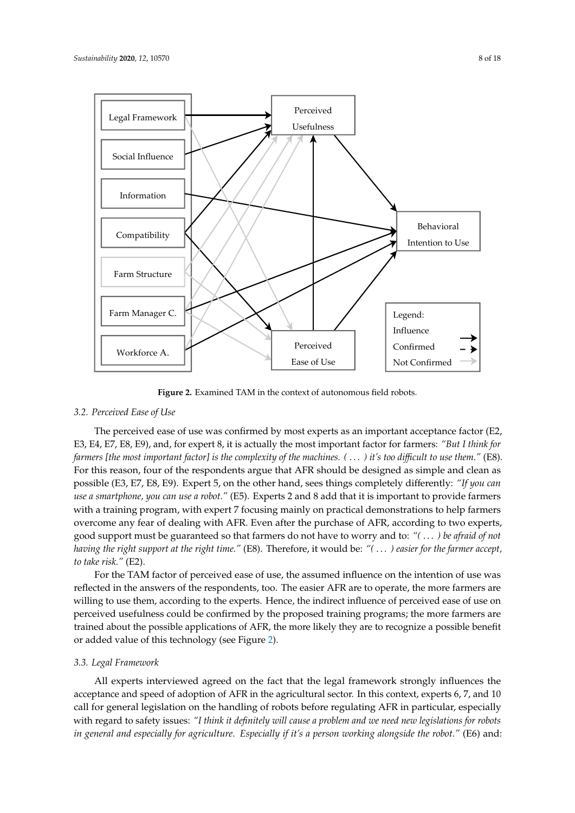<span id="page-7-0"></span>

**Figure 2.** Examined TAM in the context of autonomous field robots. **Figure 2.** Examined TAM in the context of autonomous field robots.

## *3.2. Perceived Ease of Use 3.2. Perceived Ease of Use*

The perceived ease of use was confirmed by most experts as an important acceptance factor (E2, The perceived ease of use was confirmed by most experts as an important acceptance factor (E2, E3, E4, E7, E8, E9), and, for expert 8, it is actually the most important factor for farmers: "But I think for farmers [the most important factor] is the complexity of the machines. ( . . . ) it's too difficult to use them." (E8). For this reason, four of the respondents argue that AFR should be designed as simple and clean as possible (E3, E7, E8, E9). Expert 5, on the other hand, sees things completely differently: "If you can use a smartphone, you can use a robot." (E5). Experts 2 and 8 add that it is important to provide farmers with a training program, with expert 7 focusing mainly on practical demonstrations to help farmers with a training program, with expert 7 focusing mainly on practical demonstrations to help farmers overcome any fear of dealing with AFR. Even after the purchase of AFR, according to two experts, overcome any fear of dealing with AFR. Even after the purchase of AFR, according to two experts, good support must be guaranteed so that farmers do not have to worry and to: "(...) be afraid of not having the right support at the right time." (E8). Therefore, it would be: "(...) easier for the farmer accept, *to take risk."* (E2). *to take risk."* (E2).

For the TAM factor of perceived ease of use, the assumed influence on the intention of use was For the TAM factor of perceived ease of use, the assumed influence on the intention of use was reflected in the answers of the respondents, too. The easier AFR are to operate, the more farmers are reflected in the answers of the respondents, too. The easier AFR are to operate, the more farmers are willing to use them, according to the experts. Hence, the indirect influence of perceived ease of use willing to use them, according to the experts. Hence, the indirect influence of perceived ease of use on perceived usefulness could be confirmed by the proposed training programs; the more farmers are trained about the possible applications of AFR, the more likely they are to recognize a possible benefit or added value of this technology (see Figure [2\)](#page-7-0).

# *3.3. Legal Framework 3.3. Legal Framework*

All experts interviewed agreed on the fact that the legal framework strongly influences the acceptance and speed of adoption of AFR in the agricultural sector. In this context, experts 6, 7, and 10 call for general legislation on the handling of robots before regulating AFR in particular, especially with regard to safety issues: *"I think it definitely will cause a problem and we need new legislations for robots*  All experts interviewed agreed on the fact that the legal framework strongly influences the acceptance and speed of adoption of AFR in the agricultural sector. In this context, experts 6, 7, and 10 call for general legisla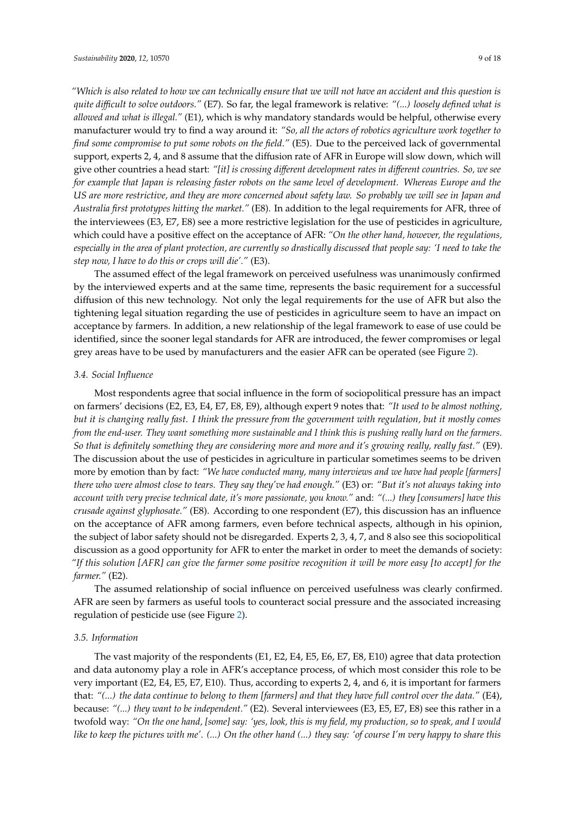*"Which is also related to how we can technically ensure that we will not have an accident and this question is quite di*ffi*cult to solve outdoors."* (E7). So far, the legal framework is relative: *"(...) loosely defined what is allowed and what is illegal."* (E1), which is why mandatory standards would be helpful, otherwise every manufacturer would try to find a way around it: *"So, all the actors of robotics agriculture work together to find some compromise to put some robots on the field."* (E5). Due to the perceived lack of governmental support, experts 2, 4, and 8 assume that the diffusion rate of AFR in Europe will slow down, which will give other countries a head start: *"[it] is crossing di*ff*erent development rates in di*ff*erent countries. So, we see for example that Japan is releasing faster robots on the same level of development. Whereas Europe and the US are more restrictive, and they are more concerned about safety law. So probably we will see in Japan and Australia first prototypes hitting the market."* (E8). In addition to the legal requirements for AFR, three of the interviewees (E3, E7, E8) see a more restrictive legislation for the use of pesticides in agriculture, which could have a positive effect on the acceptance of AFR: *"On the other hand, however, the regulations, especially in the area of plant protection, are currently so drastically discussed that people say: 'I need to take the step now, I have to do this or crops will die'."* (E3).

The assumed effect of the legal framework on perceived usefulness was unanimously confirmed by the interviewed experts and at the same time, represents the basic requirement for a successful diffusion of this new technology. Not only the legal requirements for the use of AFR but also the tightening legal situation regarding the use of pesticides in agriculture seem to have an impact on acceptance by farmers. In addition, a new relationship of the legal framework to ease of use could be identified, since the sooner legal standards for AFR are introduced, the fewer compromises or legal grey areas have to be used by manufacturers and the easier AFR can be operated (see Figure [2\)](#page-7-0).

## *3.4. Social Influence*

Most respondents agree that social influence in the form of sociopolitical pressure has an impact on farmers' decisions (E2, E3, E4, E7, E8, E9), although expert 9 notes that: *"It used to be almost nothing, but it is changing really fast. I think the pressure from the government with regulation, but it mostly comes from the end-user. They want something more sustainable and I think this is pushing really hard on the farmers. So that is definitely something they are considering more and more and it's growing really, really fast."* (E9). The discussion about the use of pesticides in agriculture in particular sometimes seems to be driven more by emotion than by fact: *"We have conducted many, many interviews and we have had people [farmers] there who were almost close to tears. They say they've had enough."* (E3) or: *"But it's not always taking into account with very precise technical date, it's more passionate, you know."* and: *"(...) they [consumers] have this crusade against glyphosate."* (E8). According to one respondent (E7), this discussion has an influence on the acceptance of AFR among farmers, even before technical aspects, although in his opinion, the subject of labor safety should not be disregarded. Experts 2, 3, 4, 7, and 8 also see this sociopolitical discussion as a good opportunity for AFR to enter the market in order to meet the demands of society: *"If this solution [AFR] can give the farmer some positive recognition it will be more easy [to accept] for the farmer."* (E2).

The assumed relationship of social influence on perceived usefulness was clearly confirmed. AFR are seen by farmers as useful tools to counteract social pressure and the associated increasing regulation of pesticide use (see Figure [2\)](#page-7-0).

#### *3.5. Information*

The vast majority of the respondents (E1, E2, E4, E5, E6, E7, E8, E10) agree that data protection and data autonomy play a role in AFR's acceptance process, of which most consider this role to be very important (E2, E4, E5, E7, E10). Thus, according to experts 2, 4, and 6, it is important for farmers that: *"(...) the data continue to belong to them [farmers] and that they have full control over the data."* (E4), because: *"(...) they want to be independent."* (E2). Several interviewees (E3, E5, E7, E8) see this rather in a twofold way: *"On the one hand, [some] say: 'yes, look, this is my field, my production, so to speak, and I would like to keep the pictures with me'. (...) On the other hand (...) they say: 'of course I'm very happy to share this*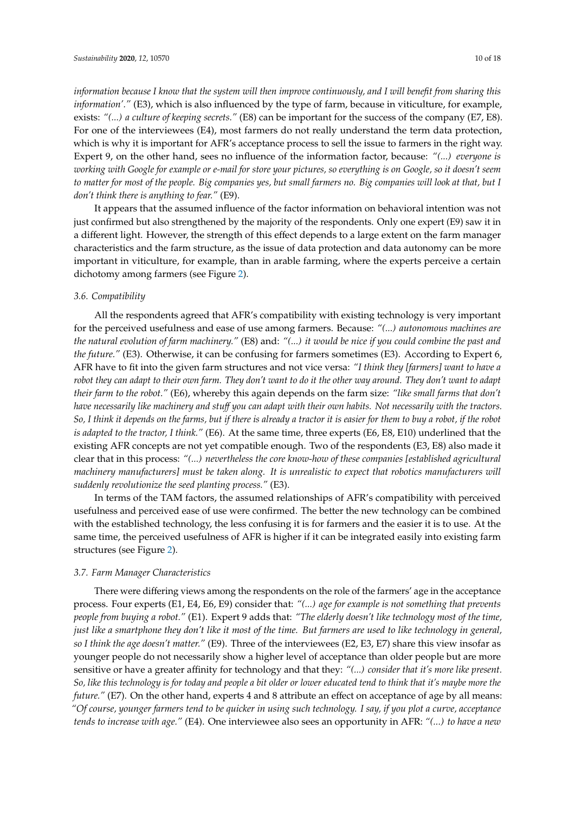*information because I know that the system will then improve continuously, and I will benefit from sharing this information'."* (E3), which is also influenced by the type of farm, because in viticulture, for example, exists: *"(...) a culture of keeping secrets."* (E8) can be important for the success of the company (E7, E8). For one of the interviewees (E4), most farmers do not really understand the term data protection, which is why it is important for AFR's acceptance process to sell the issue to farmers in the right way. Expert 9, on the other hand, sees no influence of the information factor, because: *"(...) everyone is working with Google for example or e-mail for store your pictures, so everything is on Google, so it doesn't seem to matter for most of the people. Big companies yes, but small farmers no. Big companies will look at that, but I don't think there is anything to fear."* (E9).

It appears that the assumed influence of the factor information on behavioral intention was not just confirmed but also strengthened by the majority of the respondents. Only one expert (E9) saw it in a different light. However, the strength of this effect depends to a large extent on the farm manager characteristics and the farm structure, as the issue of data protection and data autonomy can be more important in viticulture, for example, than in arable farming, where the experts perceive a certain dichotomy among farmers (see Figure [2\)](#page-7-0).

#### *3.6. Compatibility*

All the respondents agreed that AFR's compatibility with existing technology is very important for the perceived usefulness and ease of use among farmers. Because: *"(...) autonomous machines are the natural evolution of farm machinery."* (E8) and: *"(...) it would be nice if you could combine the past and the future."* (E3). Otherwise, it can be confusing for farmers sometimes (E3). According to Expert 6, AFR have to fit into the given farm structures and not vice versa: *"I think they [farmers] want to have a robot they can adapt to their own farm. They don't want to do it the other way around. They don't want to adapt their farm to the robot."* (E6), whereby this again depends on the farm size: *"like small farms that don't have necessarily like machinery and stu*ff *you can adapt with their own habits. Not necessarily with the tractors. So, I think it depends on the farms, but if there is already a tractor it is easier for them to buy a robot, if the robot is adapted to the tractor, I think."* (E6). At the same time, three experts (E6, E8, E10) underlined that the existing AFR concepts are not yet compatible enough. Two of the respondents (E3, E8) also made it clear that in this process: *"(...) nevertheless the core know-how of these companies [established agricultural machinery manufacturers] must be taken along. It is unrealistic to expect that robotics manufacturers will suddenly revolutionize the seed planting process."* (E3).

In terms of the TAM factors, the assumed relationships of AFR's compatibility with perceived usefulness and perceived ease of use were confirmed. The better the new technology can be combined with the established technology, the less confusing it is for farmers and the easier it is to use. At the same time, the perceived usefulness of AFR is higher if it can be integrated easily into existing farm structures (see Figure [2\)](#page-7-0).

## *3.7. Farm Manager Characteristics*

There were differing views among the respondents on the role of the farmers' age in the acceptance process. Four experts (E1, E4, E6, E9) consider that: *"(...) age for example is not something that prevents people from buying a robot."* (E1). Expert 9 adds that: *"The elderly doesn't like technology most of the time, just like a smartphone they don't like it most of the time. But farmers are used to like technology in general, so I think the age doesn't matter."* (E9). Three of the interviewees (E2, E3, E7) share this view insofar as younger people do not necessarily show a higher level of acceptance than older people but are more sensitive or have a greater affinity for technology and that they: *"(...) consider that it's more like present. So, like this technology is for today and people a bit older or lower educated tend to think that it's maybe more the future."* (E7). On the other hand, experts 4 and 8 attribute an effect on acceptance of age by all means: *"Of course, younger farmers tend to be quicker in using such technology. I say, if you plot a curve, acceptance tends to increase with age."* (E4). One interviewee also sees an opportunity in AFR: *"(...) to have a new*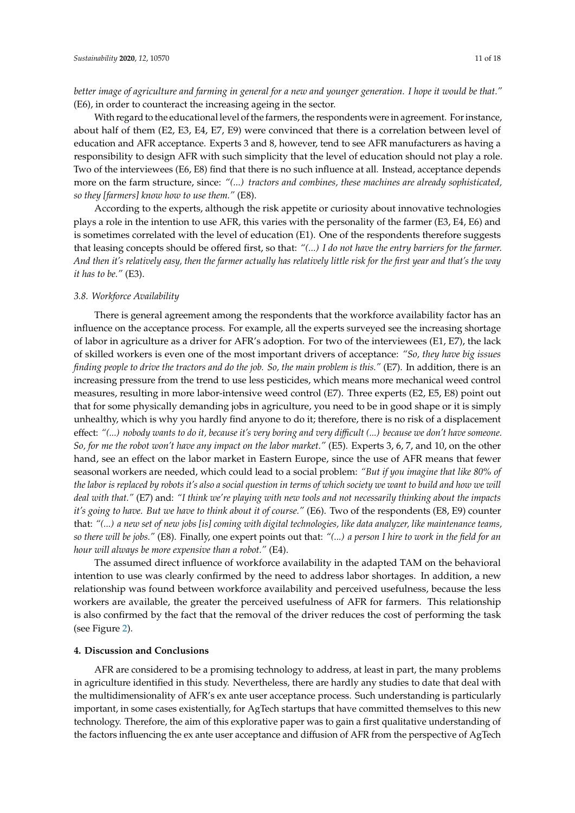*better image of agriculture and farming in general for a new and younger generation. I hope it would be that."* (E6), in order to counteract the increasing ageing in the sector.

With regard to the educational level of the farmers, the respondents were in agreement. For instance, about half of them (E2, E3, E4, E7, E9) were convinced that there is a correlation between level of education and AFR acceptance. Experts 3 and 8, however, tend to see AFR manufacturers as having a responsibility to design AFR with such simplicity that the level of education should not play a role. Two of the interviewees (E6, E8) find that there is no such influence at all. Instead, acceptance depends more on the farm structure, since: *"(...) tractors and combines, these machines are already sophisticated, so they [farmers] know how to use them."* (E8).

According to the experts, although the risk appetite or curiosity about innovative technologies plays a role in the intention to use AFR, this varies with the personality of the farmer (E3, E4, E6) and is sometimes correlated with the level of education (E1). One of the respondents therefore suggests that leasing concepts should be offered first, so that: *"(...) I do not have the entry barriers for the farmer. And then it's relatively easy, then the farmer actually has relatively little risk for the first year and that's the way it has to be."* (E3).

#### *3.8. Workforce Availability*

There is general agreement among the respondents that the workforce availability factor has an influence on the acceptance process. For example, all the experts surveyed see the increasing shortage of labor in agriculture as a driver for AFR's adoption. For two of the interviewees (E1, E7), the lack of skilled workers is even one of the most important drivers of acceptance: *"So, they have big issues finding people to drive the tractors and do the job. So, the main problem is this."* (E7). In addition, there is an increasing pressure from the trend to use less pesticides, which means more mechanical weed control measures, resulting in more labor-intensive weed control (E7). Three experts (E2, E5, E8) point out that for some physically demanding jobs in agriculture, you need to be in good shape or it is simply unhealthy, which is why you hardly find anyone to do it; therefore, there is no risk of a displacement effect: *"(...) nobody wants to do it, because it's very boring and very di*ffi*cult (...) because we don't have someone. So, for me the robot won't have any impact on the labor market."* (E5). Experts 3, 6, 7, and 10, on the other hand, see an effect on the labor market in Eastern Europe, since the use of AFR means that fewer seasonal workers are needed, which could lead to a social problem: *"But if you imagine that like 80% of the labor is replaced by robots it's also a social question in terms of which society we want to build and how we will deal with that."* (E7) and: *"I think we're playing with new tools and not necessarily thinking about the impacts it's going to have. But we have to think about it of course."* (E6). Two of the respondents (E8, E9) counter that: *"(...) a new set of new jobs [is] coming with digital technologies, like data analyzer, like maintenance teams, so there will be jobs."* (E8). Finally, one expert points out that: *"(...) a person I hire to work in the field for an hour will always be more expensive than a robot."* (E4).

The assumed direct influence of workforce availability in the adapted TAM on the behavioral intention to use was clearly confirmed by the need to address labor shortages. In addition, a new relationship was found between workforce availability and perceived usefulness, because the less workers are available, the greater the perceived usefulness of AFR for farmers. This relationship is also confirmed by the fact that the removal of the driver reduces the cost of performing the task (see Figure [2\)](#page-7-0).

#### **4. Discussion and Conclusions**

AFR are considered to be a promising technology to address, at least in part, the many problems in agriculture identified in this study. Nevertheless, there are hardly any studies to date that deal with the multidimensionality of AFR's ex ante user acceptance process. Such understanding is particularly important, in some cases existentially, for AgTech startups that have committed themselves to this new technology. Therefore, the aim of this explorative paper was to gain a first qualitative understanding of the factors influencing the ex ante user acceptance and diffusion of AFR from the perspective of AgTech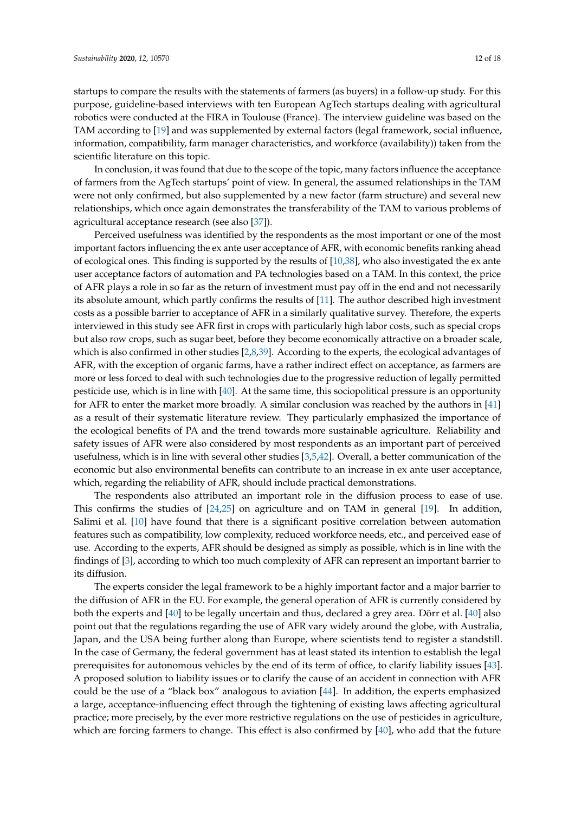startups to compare the results with the statements of farmers (as buyers) in a follow-up study. For this purpose, guideline-based interviews with ten European AgTech startups dealing with agricultural robotics were conducted at the FIRA in Toulouse (France). The interview guideline was based on the TAM according to [\[19\]](#page-16-1) and was supplemented by external factors (legal framework, social influence, information, compatibility, farm manager characteristics, and workforce (availability)) taken from the scientific literature on this topic.

In conclusion, it was found that due to the scope of the topic, many factors influence the acceptance of farmers from the AgTech startups' point of view. In general, the assumed relationships in the TAM were not only confirmed, but also supplemented by a new factor (farm structure) and several new relationships, which once again demonstrates the transferability of the TAM to various problems of agricultural acceptance research (see also [\[37\]](#page-16-18)).

Perceived usefulness was identified by the respondents as the most important or one of the most important factors influencing the ex ante user acceptance of AFR, with economic benefits ranking ahead of ecological ones. This finding is supported by the results of [\[10](#page-15-9)[,38\]](#page-16-19), who also investigated the ex ante user acceptance factors of automation and PA technologies based on a TAM. In this context, the price of AFR plays a role in so far as the return of investment must pay off in the end and not necessarily its absolute amount, which partly confirms the results of [\[11\]](#page-15-10). The author described high investment costs as a possible barrier to acceptance of AFR in a similarly qualitative survey. Therefore, the experts interviewed in this study see AFR first in crops with particularly high labor costs, such as special crops but also row crops, such as sugar beet, before they become economically attractive on a broader scale, which is also confirmed in other studies [\[2](#page-15-1)[,8](#page-15-7)[,39\]](#page-16-20). According to the experts, the ecological advantages of AFR, with the exception of organic farms, have a rather indirect effect on acceptance, as farmers are more or less forced to deal with such technologies due to the progressive reduction of legally permitted pesticide use, which is in line with [\[40\]](#page-17-0). At the same time, this sociopolitical pressure is an opportunity for AFR to enter the market more broadly. A similar conclusion was reached by the authors in [\[41\]](#page-17-1) as a result of their systematic literature review. They particularly emphasized the importance of the ecological benefits of PA and the trend towards more sustainable agriculture. Reliability and safety issues of AFR were also considered by most respondents as an important part of perceived usefulness, which is in line with several other studies [\[3](#page-15-2)[,5](#page-15-4)[,42\]](#page-17-2). Overall, a better communication of the economic but also environmental benefits can contribute to an increase in ex ante user acceptance, which, regarding the reliability of AFR, should include practical demonstrations.

The respondents also attributed an important role in the diffusion process to ease of use. This confirms the studies of [\[24,](#page-16-5)[25\]](#page-16-6) on agriculture and on TAM in general [\[19\]](#page-16-1). In addition, Salimi et al. [\[10\]](#page-15-9) have found that there is a significant positive correlation between automation features such as compatibility, low complexity, reduced workforce needs, etc., and perceived ease of use. According to the experts, AFR should be designed as simply as possible, which is in line with the findings of [\[3\]](#page-15-2), according to which too much complexity of AFR can represent an important barrier to its diffusion.

The experts consider the legal framework to be a highly important factor and a major barrier to the diffusion of AFR in the EU. For example, the general operation of AFR is currently considered by both the experts and [\[40\]](#page-17-0) to be legally uncertain and thus, declared a grey area. Dörr et al. [\[40\]](#page-17-0) also point out that the regulations regarding the use of AFR vary widely around the globe, with Australia, Japan, and the USA being further along than Europe, where scientists tend to register a standstill. In the case of Germany, the federal government has at least stated its intention to establish the legal prerequisites for autonomous vehicles by the end of its term of office, to clarify liability issues [\[43\]](#page-17-3). A proposed solution to liability issues or to clarify the cause of an accident in connection with AFR could be the use of a "black box" analogous to aviation [\[44\]](#page-17-4). In addition, the experts emphasized a large, acceptance-influencing effect through the tightening of existing laws affecting agricultural practice; more precisely, by the ever more restrictive regulations on the use of pesticides in agriculture, which are forcing farmers to change. This effect is also confirmed by [\[40\]](#page-17-0), who add that the future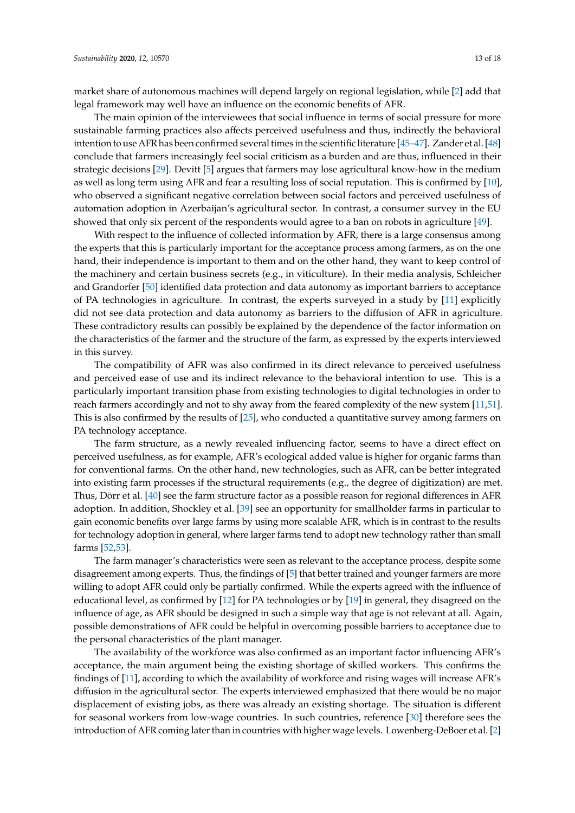market share of autonomous machines will depend largely on regional legislation, while [\[2\]](#page-15-1) add that legal framework may well have an influence on the economic benefits of AFR.

The main opinion of the interviewees that social influence in terms of social pressure for more sustainable farming practices also affects perceived usefulness and thus, indirectly the behavioral intention to use AFR has been confirmed several times in the scientific literature [\[45](#page-17-5)[–47\]](#page-17-6). Zander et al. [\[48\]](#page-17-7) conclude that farmers increasingly feel social criticism as a burden and are thus, influenced in their strategic decisions [\[29\]](#page-16-10). Devitt [\[5\]](#page-15-4) argues that farmers may lose agricultural know-how in the medium as well as long term using AFR and fear a resulting loss of social reputation. This is confirmed by [\[10\]](#page-15-9), who observed a significant negative correlation between social factors and perceived usefulness of automation adoption in Azerbaijan's agricultural sector. In contrast, a consumer survey in the EU showed that only six percent of the respondents would agree to a ban on robots in agriculture [\[49\]](#page-17-8).

With respect to the influence of collected information by AFR, there is a large consensus among the experts that this is particularly important for the acceptance process among farmers, as on the one hand, their independence is important to them and on the other hand, they want to keep control of the machinery and certain business secrets (e.g., in viticulture). In their media analysis, Schleicher and Grandorfer [\[50\]](#page-17-9) identified data protection and data autonomy as important barriers to acceptance of PA technologies in agriculture. In contrast, the experts surveyed in a study by [\[11\]](#page-15-10) explicitly did not see data protection and data autonomy as barriers to the diffusion of AFR in agriculture. These contradictory results can possibly be explained by the dependence of the factor information on the characteristics of the farmer and the structure of the farm, as expressed by the experts interviewed in this survey.

The compatibility of AFR was also confirmed in its direct relevance to perceived usefulness and perceived ease of use and its indirect relevance to the behavioral intention to use. This is a particularly important transition phase from existing technologies to digital technologies in order to reach farmers accordingly and not to shy away from the feared complexity of the new system [\[11,](#page-15-10)[51\]](#page-17-10). This is also confirmed by the results of [\[25\]](#page-16-6), who conducted a quantitative survey among farmers on PA technology acceptance.

The farm structure, as a newly revealed influencing factor, seems to have a direct effect on perceived usefulness, as for example, AFR's ecological added value is higher for organic farms than for conventional farms. On the other hand, new technologies, such as AFR, can be better integrated into existing farm processes if the structural requirements (e.g., the degree of digitization) are met. Thus, Dörr et al. [\[40\]](#page-17-0) see the farm structure factor as a possible reason for regional differences in AFR adoption. In addition, Shockley et al. [\[39\]](#page-16-20) see an opportunity for smallholder farms in particular to gain economic benefits over large farms by using more scalable AFR, which is in contrast to the results for technology adoption in general, where larger farms tend to adopt new technology rather than small farms [\[52,](#page-17-11)[53\]](#page-17-12).

The farm manager's characteristics were seen as relevant to the acceptance process, despite some disagreement among experts. Thus, the findings of [\[5\]](#page-15-4) that better trained and younger farmers are more willing to adopt AFR could only be partially confirmed. While the experts agreed with the influence of educational level, as confirmed by [\[12\]](#page-15-11) for PA technologies or by [\[19\]](#page-16-1) in general, they disagreed on the influence of age, as AFR should be designed in such a simple way that age is not relevant at all. Again, possible demonstrations of AFR could be helpful in overcoming possible barriers to acceptance due to the personal characteristics of the plant manager.

The availability of the workforce was also confirmed as an important factor influencing AFR's acceptance, the main argument being the existing shortage of skilled workers. This confirms the findings of [\[11\]](#page-15-10), according to which the availability of workforce and rising wages will increase AFR's diffusion in the agricultural sector. The experts interviewed emphasized that there would be no major displacement of existing jobs, as there was already an existing shortage. The situation is different for seasonal workers from low-wage countries. In such countries, reference [\[30\]](#page-16-11) therefore sees the introduction of AFR coming later than in countries with higher wage levels. Lowenberg-DeBoer et al. [\[2\]](#page-15-1)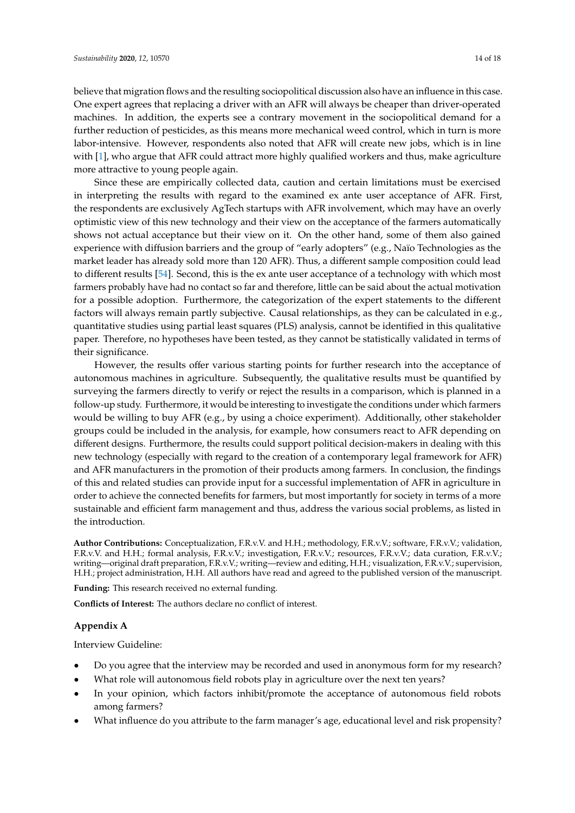believe that migration flows and the resulting sociopolitical discussion also have an influence in this case. One expert agrees that replacing a driver with an AFR will always be cheaper than driver-operated machines. In addition, the experts see a contrary movement in the sociopolitical demand for a further reduction of pesticides, as this means more mechanical weed control, which in turn is more labor-intensive. However, respondents also noted that AFR will create new jobs, which is in line with [\[1\]](#page-15-0), who argue that AFR could attract more highly qualified workers and thus, make agriculture more attractive to young people again.

Since these are empirically collected data, caution and certain limitations must be exercised in interpreting the results with regard to the examined ex ante user acceptance of AFR. First, the respondents are exclusively AgTech startups with AFR involvement, which may have an overly optimistic view of this new technology and their view on the acceptance of the farmers automatically shows not actual acceptance but their view on it. On the other hand, some of them also gained experience with diffusion barriers and the group of "early adopters" (e.g., Naïo Technologies as the market leader has already sold more than 120 AFR). Thus, a different sample composition could lead to different results [\[54\]](#page-17-13). Second, this is the ex ante user acceptance of a technology with which most farmers probably have had no contact so far and therefore, little can be said about the actual motivation for a possible adoption. Furthermore, the categorization of the expert statements to the different factors will always remain partly subjective. Causal relationships, as they can be calculated in e.g., quantitative studies using partial least squares (PLS) analysis, cannot be identified in this qualitative paper. Therefore, no hypotheses have been tested, as they cannot be statistically validated in terms of their significance.

However, the results offer various starting points for further research into the acceptance of autonomous machines in agriculture. Subsequently, the qualitative results must be quantified by surveying the farmers directly to verify or reject the results in a comparison, which is planned in a follow-up study. Furthermore, it would be interesting to investigate the conditions under which farmers would be willing to buy AFR (e.g., by using a choice experiment). Additionally, other stakeholder groups could be included in the analysis, for example, how consumers react to AFR depending on different designs. Furthermore, the results could support political decision-makers in dealing with this new technology (especially with regard to the creation of a contemporary legal framework for AFR) and AFR manufacturers in the promotion of their products among farmers. In conclusion, the findings of this and related studies can provide input for a successful implementation of AFR in agriculture in order to achieve the connected benefits for farmers, but most importantly for society in terms of a more sustainable and efficient farm management and thus, address the various social problems, as listed in the introduction.

**Author Contributions:** Conceptualization, F.R.v.V. and H.H.; methodology, F.R.v.V.; software, F.R.v.V.; validation, F.R.v.V. and H.H.; formal analysis, F.R.v.V.; investigation, F.R.v.V.; resources, F.R.v.V.; data curation, F.R.v.V.; writing—original draft preparation, F.R.v.V.; writing—review and editing, H.H.; visualization, F.R.v.V.; supervision, H.H.; project administration, H.H. All authors have read and agreed to the published version of the manuscript.

**Funding:** This research received no external funding.

**Conflicts of Interest:** The authors declare no conflict of interest.

#### <span id="page-13-0"></span>**Appendix A**

#### Interview Guideline:

- Do you agree that the interview may be recorded and used in anonymous form for my research?
- What role will autonomous field robots play in agriculture over the next ten years?
- In your opinion, which factors inhibit/promote the acceptance of autonomous field robots among farmers?
- What influence do you attribute to the farm manager's age, educational level and risk propensity?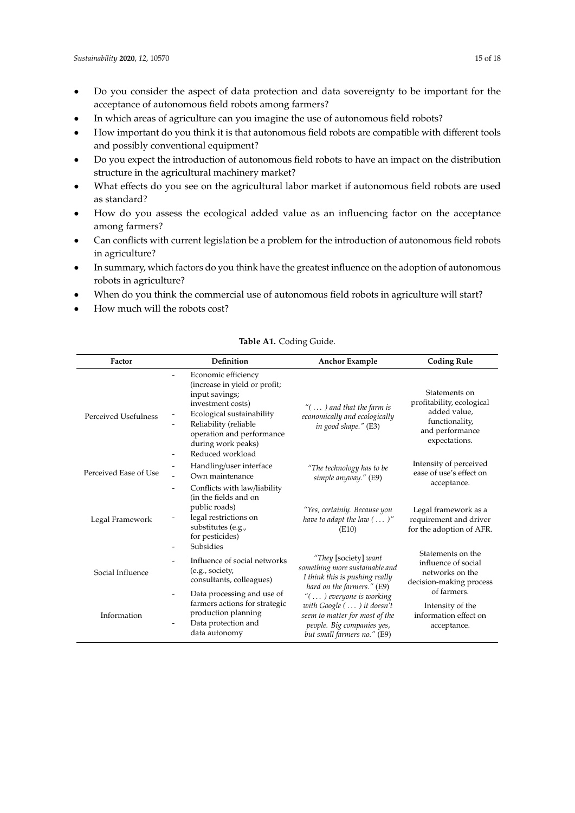- Do you consider the aspect of data protection and data sovereignty to be important for the acceptance of autonomous field robots among farmers?
- In which areas of agriculture can you imagine the use of autonomous field robots?
- How important do you think it is that autonomous field robots are compatible with different tools and possibly conventional equipment?
- Do you expect the introduction of autonomous field robots to have an impact on the distribution structure in the agricultural machinery market?
- What effects do you see on the agricultural labor market if autonomous field robots are used as standard?
- How do you assess the ecological added value as an influencing factor on the acceptance among farmers?
- Can conflicts with current legislation be a problem for the introduction of autonomous field robots in agriculture?
- In summary, which factors do you think have the greatest influence on the adoption of autonomous robots in agriculture?
- When do you think the commercial use of autonomous field robots in agriculture will start?
- How much will the robots cost?

<span id="page-14-0"></span>

| Factor                | Definition                                                                                                                                                                                                                                           | <b>Anchor Example</b>                                                                                                                                   | <b>Coding Rule</b>                                                                                               |
|-----------------------|------------------------------------------------------------------------------------------------------------------------------------------------------------------------------------------------------------------------------------------------------|---------------------------------------------------------------------------------------------------------------------------------------------------------|------------------------------------------------------------------------------------------------------------------|
| Perceived Usefulness  | Economic efficiency<br>(increase in yield or profit;<br>input savings;<br>investment costs)<br>Ecological sustainability<br>Reliability (reliable<br>operation and performance<br>during work peaks)<br>Reduced workload<br>$\overline{\phantom{a}}$ | " $(\ldots)$ and that the farm is<br>economically and ecologically<br>in good shape." (E3)                                                              | Statements on<br>profitability, ecological<br>added value,<br>functionality,<br>and performance<br>expectations. |
| Perceived Ease of Use | Handling/user interface<br>Own maintenance                                                                                                                                                                                                           | "The technology has to be<br>simple anyway." (E9)                                                                                                       | Intensity of perceived<br>ease of use's effect on                                                                |
| Legal Framework       | Conflicts with law/liability<br>$\overline{\phantom{a}}$<br>(in the fields and on<br>public roads)<br>legal restrictions on<br>substitutes (e.g.,<br>for pesticides)<br>Subsidies<br>$\overline{\phantom{a}}$                                        | "Yes, certainly. Because you<br>have to adapt the law $(\ldots)''$<br>(E10)                                                                             | acceptance.<br>Legal framework as a<br>requirement and driver<br>for the adoption of AFR.                        |
| Social Influence      | Influence of social networks<br>(e.g., society,<br>consultants, colleagues)                                                                                                                                                                          | "They [society] want<br>something more sustainable and<br>I think this is pushing really<br>hard on the farmers." (E9)                                  | Statements on the<br>influence of social<br>networks on the<br>decision-making process                           |
| Information           | Data processing and use of<br>$\overline{\phantom{a}}$<br>farmers actions for strategic<br>production planning<br>Data protection and<br>data autonomy                                                                                               | "() everyone is working<br>with $Google (  ) it doesn't$<br>seem to matter for most of the<br>people. Big companies yes,<br>but small farmers no." (E9) | of farmers.<br>Intensity of the<br>information effect on<br>acceptance.                                          |

## **Table A1.** Coding Guide.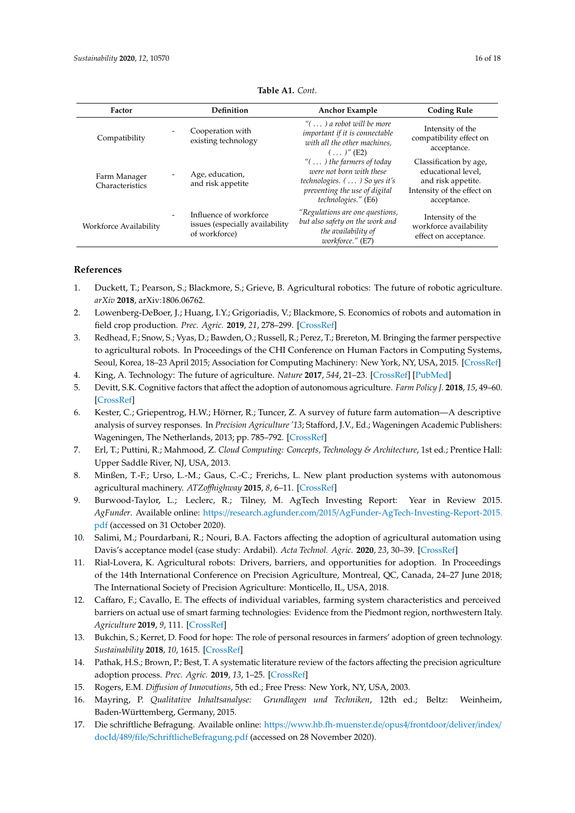| Factor                          | Definition                                                                 | <b>Anchor Example</b>                                                                                                                                                     | <b>Coding Rule</b>                                                                                              |
|---------------------------------|----------------------------------------------------------------------------|---------------------------------------------------------------------------------------------------------------------------------------------------------------------------|-----------------------------------------------------------------------------------------------------------------|
| Compatibility                   | Cooperation with<br>existing technology                                    | " $( \ldots )$ a robot will be more<br>important if it is connectable<br>with all the other machines.<br>$()'$ (E2)                                                       | Intensity of the<br>compatibility effect on<br>acceptance.                                                      |
| Farm Manager<br>Characteristics | Age, education,<br>and risk appetite                                       | " $( \ldots )$ the farmers of today"<br>were not born with these<br>technologies. $( \ldots )$ So yes it's<br>preventing the use of digital<br><i>technologies."</i> (E6) | Classification by age,<br>educational level,<br>and risk appetite.<br>Intensity of the effect on<br>acceptance. |
| Workforce Availability          | Influence of workforce<br>issues (especially availability<br>of workforce) | "Regulations are one questions,<br>but also safety on the work and<br>the availability of<br>workforce." (E7)                                                             | Intensity of the<br>workforce availability<br>effect on acceptance.                                             |

**Table A1.** *Cont*.

## **References**

- <span id="page-15-0"></span>1. Duckett, T.; Pearson, S.; Blackmore, S.; Grieve, B. Agricultural robotics: The future of robotic agriculture. *arXiv* **2018**, arXiv:1806.06762.
- <span id="page-15-1"></span>2. Lowenberg-DeBoer, J.; Huang, I.Y.; Grigoriadis, V.; Blackmore, S. Economics of robots and automation in field crop production. *Prec. Agric.* **2019**, *21*, 278–299. [\[CrossRef\]](http://dx.doi.org/10.1007/s11119-019-09667-5)
- <span id="page-15-2"></span>3. Redhead, F.; Snow, S.; Vyas, D.; Bawden, O.; Russell, R.; Perez, T.; Brereton, M. Bringing the farmer perspective to agricultural robots. In Proceedings of the CHI Conference on Human Factors in Computing Systems, Seoul, Korea, 18–23 April 2015; Association for Computing Machinery: New York, NY, USA, 2015. [\[CrossRef\]](http://dx.doi.org/10.1145/2702613.2732894)
- <span id="page-15-3"></span>4. King, A. Technology: The future of agriculture. *Nature* **2017**, *544*, 21–23. [\[CrossRef\]](http://dx.doi.org/10.1038/544S21a) [\[PubMed\]](http://www.ncbi.nlm.nih.gov/pubmed/28445450)
- <span id="page-15-4"></span>5. Devitt, S.K. Cognitive factors that affect the adoption of autonomous agriculture. *Farm Policy J.* **2018**, *15*, 49–60. [\[CrossRef\]](http://dx.doi.org/10.1093/erae/jbz019)
- <span id="page-15-5"></span>6. Kester, C.; Griepentrog, H.W.; Hörner, R.; Tuncer, Z. A survey of future farm automation—A descriptive analysis of survey responses. In *Precision Agriculture '13*; Stafford, J.V., Ed.; Wageningen Academic Publishers: Wageningen, The Netherlands, 2013; pp. 785–792. [\[CrossRef\]](http://dx.doi.org/10.3920/978-90-8686-778-3_97)
- <span id="page-15-6"></span>7. Erl, T.; Puttini, R.; Mahmood, Z. *Cloud Computing: Concepts, Technology & Architecture*, 1st ed.; Prentice Hall: Upper Saddle River, NJ, USA, 2013.
- <span id="page-15-7"></span>8. Minßen, T.-F.; Urso, L.-M.; Gaus, C.-C.; Frerichs, L. New plant production systems with autonomous agricultural machinery. *ATZo*ff*highway* **2015**, *8*, 6–11. [\[CrossRef\]](http://dx.doi.org/10.1007/s35746-015-0028-y)
- <span id="page-15-8"></span>9. Burwood-Taylor, L.; Leclerc, R.; Tilney, M. AgTech Investing Report: Year in Review 2015. *AgFunder*. Available online: https://research.agfunder.com/2015/[AgFunder-AgTech-Investing-Report-2015.](https://research.agfunder.com/2015/AgFunder-AgTech-Investing-Report-2015.pdf) [pdf](https://research.agfunder.com/2015/AgFunder-AgTech-Investing-Report-2015.pdf) (accessed on 31 October 2020).
- <span id="page-15-9"></span>10. Salimi, M.; Pourdarbani, R.; Nouri, B.A. Factors affecting the adoption of agricultural automation using Davis's acceptance model (case study: Ardabil). *Acta Technol. Agric.* **2020**, *23*, 30–39. [\[CrossRef\]](http://dx.doi.org/10.2478/ata-2020-0006)
- <span id="page-15-10"></span>11. Rial-Lovera, K. Agricultural robots: Drivers, barriers, and opportunities for adoption. In Proceedings of the 14th International Conference on Precision Agriculture, Montreal, QC, Canada, 24–27 June 2018; The International Society of Precision Agriculture: Monticello, IL, USA, 2018.
- <span id="page-15-11"></span>12. Caffaro, F.; Cavallo, E. The effects of individual variables, farming system characteristics and perceived barriers on actual use of smart farming technologies: Evidence from the Piedmont region, northwestern Italy. *Agriculture* **2019**, *9*, 111. [\[CrossRef\]](http://dx.doi.org/10.3390/agriculture9050111)
- <span id="page-15-12"></span>13. Bukchin, S.; Kerret, D. Food for hope: The role of personal resources in farmers' adoption of green technology. *Sustainability* **2018**, *10*, 1615. [\[CrossRef\]](http://dx.doi.org/10.3390/su10051615)
- <span id="page-15-13"></span>14. Pathak, H.S.; Brown, P.; Best, T. A systematic literature review of the factors affecting the precision agriculture adoption process. *Prec. Agric.* **2019**, *13*, 1–25. [\[CrossRef\]](http://dx.doi.org/10.1007/s11119-019-09653-x)
- <span id="page-15-14"></span>15. Rogers, E.M. *Di*ff*usion of Innovations*, 5th ed.; Free Press: New York, NY, USA, 2003.
- <span id="page-15-15"></span>16. Mayring, P. *Qualitative Inhaltsanalyse: Grundlagen und Techniken*, 12th ed.; Beltz: Weinheim, Baden-Württemberg, Germany, 2015.
- <span id="page-15-16"></span>17. Die schriftliche Befragung. Available online: https://[www.hb.fh-muenster.de](https://www.hb.fh-muenster.de/opus4/frontdoor/deliver/index/docId/489/file/SchriftlicheBefragung.pdf)/opus4/frontdoor/deliver/index/ docId/489/file/[SchriftlicheBefragung.pdf](https://www.hb.fh-muenster.de/opus4/frontdoor/deliver/index/docId/489/file/SchriftlicheBefragung.pdf) (accessed on 28 November 2020).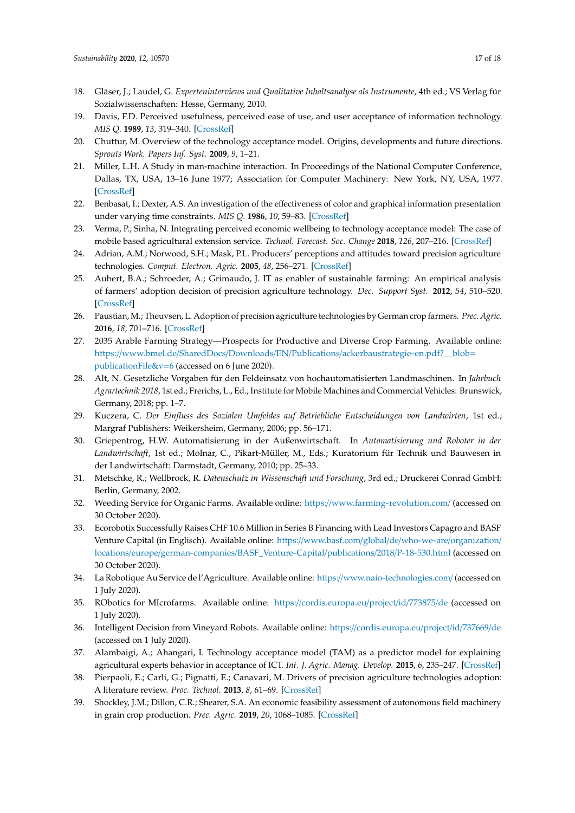- <span id="page-16-0"></span>18. Gläser, J.; Laudel, G. *Experteninterviews und Qualitative Inhaltsanalyse als Instrumente*, 4th ed.; VS Verlag für Sozialwissenschaften: Hesse, Germany, 2010.
- <span id="page-16-1"></span>19. Davis, F.D. Perceived usefulness, perceived ease of use, and user acceptance of information technology. *MIS Q.* **1989**, *13*, 319–340. [\[CrossRef\]](http://dx.doi.org/10.2307/249008)
- <span id="page-16-2"></span>20. Chuttur, M. Overview of the technology acceptance model. Origins, developments and future directions. *Sprouts Work. Papers Inf. Syst.* **2009**, *9*, 1–21.
- <span id="page-16-3"></span>21. Miller, L.H. A Study in man-machine interaction. In Proceedings of the National Computer Conference, Dallas, TX, USA, 13–16 June 1977; Association for Computer Machinery: New York, NY, USA, 1977. [\[CrossRef\]](http://dx.doi.org/10.1145/1499402.1499475)
- 22. Benbasat, I.; Dexter, A.S. An investigation of the effectiveness of color and graphical information presentation under varying time constraints. *MIS Q.* **1986**, *10*, 59–83. [\[CrossRef\]](http://dx.doi.org/10.2307/248881)
- <span id="page-16-4"></span>23. Verma, P.; Sinha, N. Integrating perceived economic wellbeing to technology acceptance model: The case of mobile based agricultural extension service. *Technol. Forecast. Soc. Change* **2018**, *126*, 207–216. [\[CrossRef\]](http://dx.doi.org/10.1016/j.techfore.2017.08.013)
- <span id="page-16-5"></span>24. Adrian, A.M.; Norwood, S.H.; Mask, P.L. Producers' perceptions and attitudes toward precision agriculture technologies. *Comput. Electron. Agric.* **2005**, *48*, 256–271. [\[CrossRef\]](http://dx.doi.org/10.1016/j.compag.2005.04.004)
- <span id="page-16-6"></span>25. Aubert, B.A.; Schroeder, A.; Grimaudo, J. IT as enabler of sustainable farming: An empirical analysis of farmers' adoption decision of precision agriculture technology. *Dec. Support Syst.* **2012**, *54*, 510–520. [\[CrossRef\]](http://dx.doi.org/10.1016/j.dss.2012.07.002)
- <span id="page-16-7"></span>26. Paustian, M.; Theuvsen, L. Adoption of precision agriculture technologies by German crop farmers. *Prec. Agric.* **2016**, *18*, 701–716. [\[CrossRef\]](http://dx.doi.org/10.1007/s11119-016-9482-5)
- <span id="page-16-8"></span>27. 2035 Arable Farming Strategy—Prospects for Productive and Diverse Crop Farming. Available online: https://www.bmel.de/SharedDocs/Downloads/EN/Publications/[ackerbaustrategie-en.pdf?\\_\\_blob](https://www.bmel.de/SharedDocs/Downloads/EN/Publications/ackerbaustrategie-en.pdf?__blob=publicationFile&v=6)= [publicationFile&v](https://www.bmel.de/SharedDocs/Downloads/EN/Publications/ackerbaustrategie-en.pdf?__blob=publicationFile&v=6)=6 (accessed on 6 June 2020).
- <span id="page-16-9"></span>28. Alt, N. Gesetzliche Vorgaben für den Feldeinsatz von hochautomatisierten Landmaschinen. In *Jahrbuch Agrartechnik 2018*, 1st ed.; Frerichs, L., Ed.; Institute for Mobile Machines and Commercial Vehicles: Brunswick, Germany, 2018; pp. 1–7.
- <span id="page-16-10"></span>29. Kuczera, C. *Der Einfluss des Sozialen Umfeldes auf Betriebliche Entscheidungen von Landwirten*, 1st ed.; Margraf Publishers: Weikersheim, Germany, 2006; pp. 56–171.
- <span id="page-16-11"></span>30. Griepentrog, H.W. Automatisierung in der Außenwirtschaft. In *Automatisierung und Roboter in der Landwirtschaft*, 1st ed.; Molnar, C., Pikart-Müller, M., Eds.; Kuratorium für Technik und Bauwesen in der Landwirtschaft: Darmstadt, Germany, 2010; pp. 25–33.
- <span id="page-16-12"></span>31. Metschke, R.; Wellbrock, R. *Datenschutz in Wissenschaft und Forschung*, 3rd ed.; Druckerei Conrad GmbH: Berlin, Germany, 2002.
- <span id="page-16-13"></span>32. Weeding Service for Organic Farms. Available online: https://[www.farming-revolution.com](https://www.farming-revolution.com/)/ (accessed on 30 October 2020).
- <span id="page-16-14"></span>33. Ecorobotix Successfully Raises CHF 10.6 Million in Series B Financing with Lead Investors Capagro and BASF Venture Capital (in Englisch). Available online: https://[www.basf.com](https://www.basf.com/global/de/who-we-are/organization/locations/europe/german-companies/BASF_Venture-Capital/publications/2018/P-18-530.html)/global/de/who-we-are/organization/ locations/europe/german-companies/[BASF\\_Venture-Capital](https://www.basf.com/global/de/who-we-are/organization/locations/europe/german-companies/BASF_Venture-Capital/publications/2018/P-18-530.html)/publications/2018/P-18-530.html (accessed on 30 October 2020).
- <span id="page-16-15"></span>34. La Robotique Au Service de l'Agriculture. Available online: https://[www.naio-technologies.com](https://www.naio-technologies.com/)/ (accessed on 1 July 2020).
- <span id="page-16-16"></span>35. RObotics for MIcrofarms. Available online: https://[cordis.europa.eu](https://cordis.europa.eu/project/id/773875/de)/project/id/773875/de (accessed on 1 July 2020).
- <span id="page-16-17"></span>36. Intelligent Decision from Vineyard Robots. Available online: https://[cordis.europa.eu](https://cordis.europa.eu/project/id/737669/de)/project/id/737669/de (accessed on 1 July 2020).
- <span id="page-16-18"></span>37. Alambaigi, A.; Ahangari, I. Technology acceptance model (TAM) as a predictor model for explaining agricultural experts behavior in acceptance of ICT. *Int. J. Agric. Manag. Develop.* **2015**, *6*, 235–247. [\[CrossRef\]](http://dx.doi.org/10.22004/ag.econ.262557)
- <span id="page-16-19"></span>38. Pierpaoli, E.; Carli, G.; Pignatti, E.; Canavari, M. Drivers of precision agriculture technologies adoption: A literature review. *Proc. Technol.* **2013**, *8*, 61–69. [\[CrossRef\]](http://dx.doi.org/10.1016/j.protcy.2013.11.010)
- <span id="page-16-20"></span>39. Shockley, J.M.; Dillon, C.R.; Shearer, S.A. An economic feasibility assessment of autonomous field machinery in grain crop production. *Prec. Agric.* **2019**, *20*, 1068–1085. [\[CrossRef\]](http://dx.doi.org/10.1007/s11119-019-09638-w)